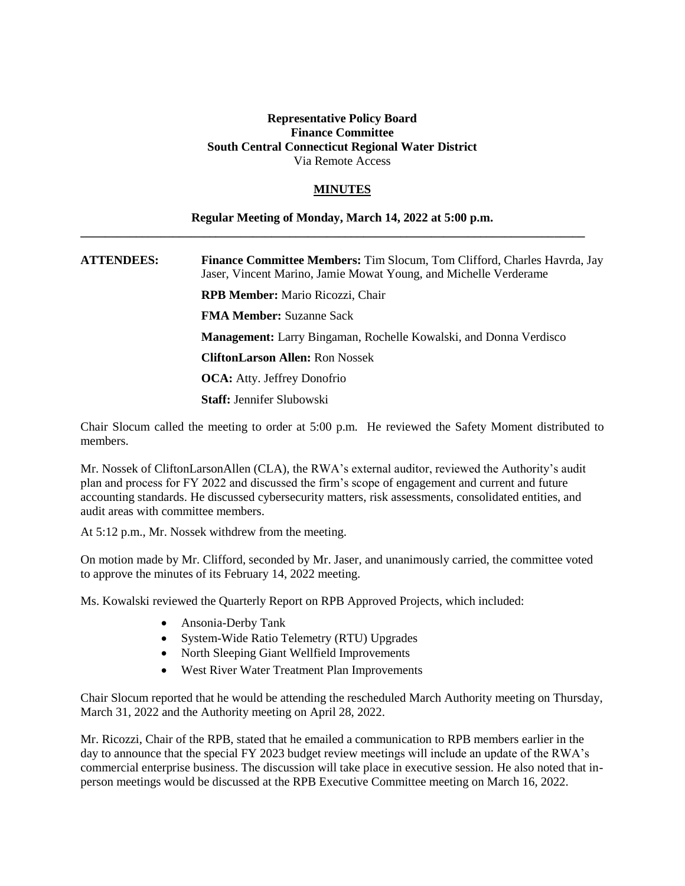## **Representative Policy Board Finance Committee South Central Connecticut Regional Water District** Via Remote Access

## **MINUTES**

## **Regular Meeting of Monday, March 14, 2022 at 5:00 p.m.**

**\_\_\_\_\_\_\_\_\_\_\_\_\_\_\_\_\_\_\_\_\_\_\_\_\_\_\_\_\_\_\_\_\_\_\_\_\_\_\_\_\_\_\_\_\_\_\_\_\_\_\_\_\_\_\_\_\_\_\_\_\_\_\_\_\_\_\_\_\_\_\_\_\_\_\_\_\_\_\_\_\_\_**

**ATTENDEES: Finance Committee Members:** Tim Slocum, Tom Clifford, Charles Havrda, Jay Jaser, Vincent Marino, Jamie Mowat Young, and Michelle Verderame **RPB Member:** Mario Ricozzi, Chair

**FMA Member:** Suzanne Sack

**Management:** Larry Bingaman, Rochelle Kowalski, and Donna Verdisco

**CliftonLarson Allen:** Ron Nossek

**OCA:** Atty. Jeffrey Donofrio

**Staff:** Jennifer Slubowski

Chair Slocum called the meeting to order at 5:00 p.m. He reviewed the Safety Moment distributed to members.

Mr. Nossek of CliftonLarsonAllen (CLA), the RWA's external auditor, reviewed the Authority's audit plan and process for FY 2022 and discussed the firm's scope of engagement and current and future accounting standards. He discussed cybersecurity matters, risk assessments, consolidated entities, and audit areas with committee members.

At 5:12 p.m., Mr. Nossek withdrew from the meeting.

On motion made by Mr. Clifford, seconded by Mr. Jaser, and unanimously carried, the committee voted to approve the minutes of its February 14, 2022 meeting.

Ms. Kowalski reviewed the Quarterly Report on RPB Approved Projects, which included:

- Ansonia-Derby Tank
- System-Wide Ratio Telemetry (RTU) Upgrades
- North Sleeping Giant Wellfield Improvements
- West River Water Treatment Plan Improvements

Chair Slocum reported that he would be attending the rescheduled March Authority meeting on Thursday, March 31, 2022 and the Authority meeting on April 28, 2022.

Mr. Ricozzi, Chair of the RPB, stated that he emailed a communication to RPB members earlier in the day to announce that the special FY 2023 budget review meetings will include an update of the RWA's commercial enterprise business. The discussion will take place in executive session. He also noted that inperson meetings would be discussed at the RPB Executive Committee meeting on March 16, 2022.